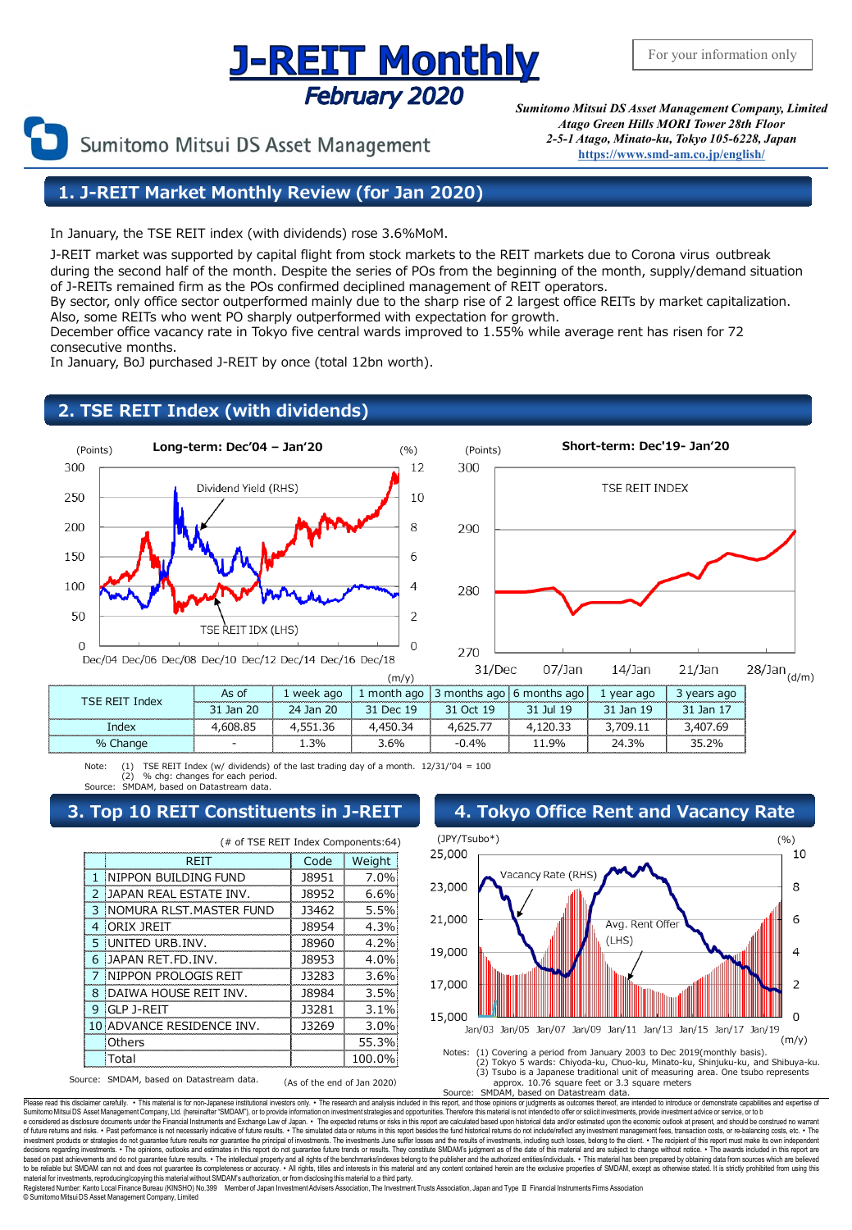## <u>J-REIT Monthly</u> **February 2020**

Sumitomo Mitsui DS Asset Management

*Sumitomo Mitsui DS Asset Management Company, Limited Atago Green Hills MORI Tower 28th Floor 2-5-1 Atago, Minato-ku, Tokyo 105-6228, Japan* **[https://www.smd-am.co.jp/english/](http://www.smam-jp.com/english/)**

### **1. J-REIT Market Monthly Review (for Jan 2020)**

In January, the TSE REIT index (with dividends) rose 3.6%MoM.

J-REIT market was supported by capital flight from stock markets to the REIT markets due to Corona virus outbreak during the second half of the month. Despite the series of POs from the beginning of the month, supply/demand situation of J-REITs remained firm as the POs confirmed deciplined management of REIT operators.

By sector, only office sector outperformed mainly due to the sharp rise of 2 largest office REITs by market capitalization. Also, some REITs who went PO sharply outperformed with expectation for growth.

December office vacancy rate in Tokyo five central wards improved to 1.55% while average rent has risen for 72 consecutive months.

In January, BoJ purchased J-REIT by once (total 12bn worth).

### **2. TSE REIT Index (with dividends)**





| <b>TSE REIT Index</b> | As of |      |                            | 1 week ago   1 month ago   3 months ago   6 months ago   1 year ago   3 years ago |                                           |       |       |
|-----------------------|-------|------|----------------------------|-----------------------------------------------------------------------------------|-------------------------------------------|-------|-------|
|                       |       |      |                            | 31 Jan 20   24 Jan 20   31 Dec 19   31 Oct 19   31 Jul 19   31 Jan 19   31 Jan 17 |                                           |       |       |
| Index                 |       |      | 4.608.85 4.551.36 4.450.34 |                                                                                   | 4,625,77   4,120,33   3,709,11   3,407,69 |       |       |
| % Change              |       | 1.3% | 3.6%                       | $-0.4\%$                                                                          | 11.9%                                     | 24.3% | 35.2% |

Note: (1) TSE REIT Index (w/ dividends) of the last trading day of a month. 12/31/'04 = 100 (2) % chg: changes for each period. MDAM, based on Datastream data

### **3. Top 10 REIT Constituents in J-REIT 4. Tokyo Office Rent and Vacancy Rate**

|   | REIT                       | Code  | Weight  |
|---|----------------------------|-------|---------|
| 1 | INIPPON BUILDING FUND      | 18951 | 7.0%    |
| 2 | IJAPAN REAL ESTATE INV.    | 18952 | 6.6%    |
| 3 | INOMURA RI ST. MASTER FUND | 13462 | 5.5%    |
| 4 | <b>ORIX JREIT</b>          | 18954 | 4.3%    |
| 5 | <b>IUNITED URB.INV.</b>    | 18960 | 4.2%    |
| 6 | IJAPAN RET.FD.INV.         | 18953 | 4.0%    |
| 7 | INIPPON PROLOGIS REIT      | 13283 | 3.6%    |
| 8 | IDAIWA HOUSE REIT INV.     | 18984 | 3.5%    |
| 9 | GLP J-REIT                 | 13281 | $3.1\%$ |
|   | 10 ADVANCE RESIDENCE       | 13269 | 3.0%    |
|   | Others                     |       | 55.3%   |
|   | Total                      |       |         |



(2) Tokyo 5 wards: Chiyoda-ku, Chuo-ku, Minato-ku, Shinjuku-ku, and Shibuya-ku. (3) Tsubo is a Japanese traditional unit of measuring area. One tsubo represents approx. 10.76 square feet or 3.3 square meters Source: SMDAM, based on Datastream data.

Please read this disclaimer carefully. . This material is for non-Japanese institutional investors only. . The research and analysis included in this report, and those opinions or judgments as outcomes thereof, are intende e considered as disclosure documents under the Financial Instruments and Exchange Law of Japan. • The expected returns or risks in this report are calculated based upon historical data and/or estimated upon the economic ou decisions regarding investments. • The opinors, outlooks and estimates in this report do not guarantee fully requist the benchmarks/indexes belongthis absolved the product of the benchmarks/indexes belongthis and the SubD

© SumitomoMitsui DS Asset Management Company, Limited